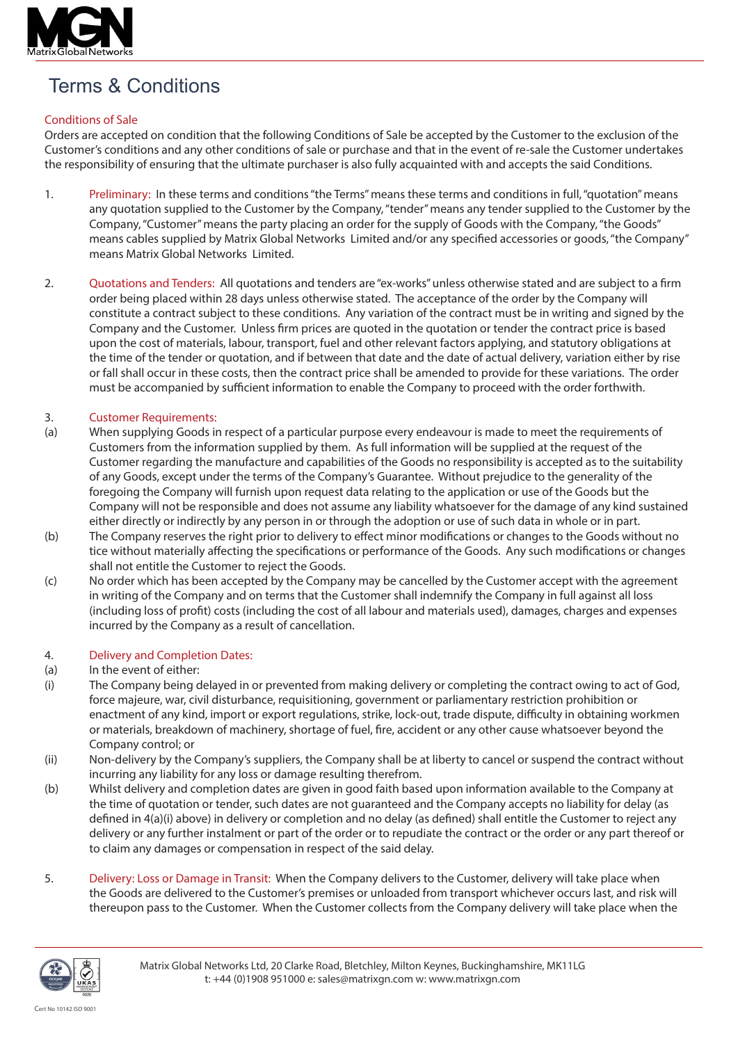

# Terms & Conditions

## Conditions of Sale

Orders are accepted on condition that the following Conditions of Sale be accepted by the Customer to the exclusion of the Customer's conditions and any other conditions of sale or purchase and that in the event of re-sale the Customer undertakes the responsibility of ensuring that the ultimate purchaser is also fully acquainted with and accepts the said Conditions.

- 1. Preliminary: In these terms and conditions "the Terms" means these terms and conditions in full, "quotation" means any quotation supplied to the Customer by the Company, "tender" means any tender supplied to the Customer by the Company, "Customer" means the party placing an order for the supply of Goods with the Company, "the Goods" means cables supplied by Matrix Global Networks Limited and/or any specified accessories or goods, "the Company" means Matrix Global Networks Limited.
- 2. Quotations and Tenders: All quotations and tenders are "ex-works" unless otherwise stated and are subject to a firm order being placed within 28 days unless otherwise stated. The acceptance of the order by the Company will constitute a contract subject to these conditions. Any variation of the contract must be in writing and signed by the Company and the Customer. Unless firm prices are quoted in the quotation or tender the contract price is based upon the cost of materials, labour, transport, fuel and other relevant factors applying, and statutory obligations at the time of the tender or quotation, and if between that date and the date of actual delivery, variation either by rise or fall shall occur in these costs, then the contract price shall be amended to provide for these variations. The order must be accompanied by sufficient information to enable the Company to proceed with the order forthwith.

## 3. Customer Requirements:

- (a) When supplying Goods in respect of a particular purpose every endeavour is made to meet the requirements of Customers from the information supplied by them. As full information will be supplied at the request of the Customer regarding the manufacture and capabilities of the Goods no responsibility is accepted as to the suitability of any Goods, except under the terms of the Company's Guarantee. Without prejudice to the generality of the foregoing the Company will furnish upon request data relating to the application or use of the Goods but the Company will not be responsible and does not assume any liability whatsoever for the damage of any kind sustained either directly or indirectly by any person in or through the adoption or use of such data in whole or in part.
- (b) The Company reserves the right prior to delivery to effect minor modifications or changes to the Goods without no tice without materially affecting the specifications or performance of the Goods. Any such modifications or changes shall not entitle the Customer to reject the Goods.
- (c) No order which has been accepted by the Company may be cancelled by the Customer accept with the agreement in writing of the Company and on terms that the Customer shall indemnify the Company in full against all loss (including loss of profit) costs (including the cost of all labour and materials used), damages, charges and expenses incurred by the Company as a result of cancellation.

## 4. Delivery and Completion Dates:

## (a) In the event of either:

- (i) The Company being delayed in or prevented from making delivery or completing the contract owing to act of God, force majeure, war, civil disturbance, requisitioning, government or parliamentary restriction prohibition or enactment of any kind, import or export regulations, strike, lock-out, trade dispute, difficulty in obtaining workmen or materials, breakdown of machinery, shortage of fuel, fire, accident or any other cause whatsoever beyond the Company control; or
- (ii) Non-delivery by the Company's suppliers, the Company shall be at liberty to cancel or suspend the contract without incurring any liability for any loss or damage resulting therefrom.
- (b) Whilst delivery and completion dates are given in good faith based upon information available to the Company at the time of quotation or tender, such dates are not guaranteed and the Company accepts no liability for delay (as defined in 4(a)(i) above) in delivery or completion and no delay (as defined) shall entitle the Customer to reject any delivery or any further instalment or part of the order or to repudiate the contract or the order or any part thereof or to claim any damages or compensation in respect of the said delay.
- 5. Delivery: Loss or Damage in Transit: When the Company delivers to the Customer, delivery will take place when the Goods are delivered to the Customer's premises or unloaded from transport whichever occurs last, and risk will thereupon pass to the Customer. When the Customer collects from the Company delivery will take place when the

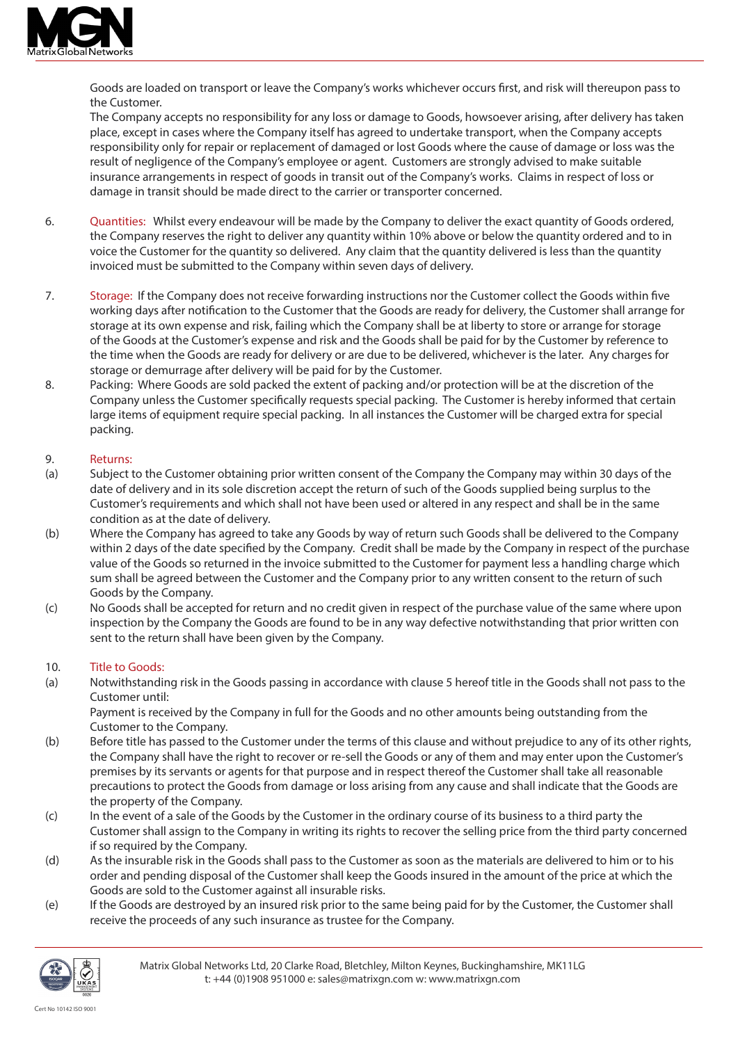

Goods are loaded on transport or leave the Company's works whichever occurs first, and risk will thereupon pass to the Customer.

The Company accepts no responsibility for any loss or damage to Goods, howsoever arising, after delivery has taken place, except in cases where the Company itself has agreed to undertake transport, when the Company accepts responsibility only for repair or replacement of damaged or lost Goods where the cause of damage or loss was the result of negligence of the Company's employee or agent. Customers are strongly advised to make suitable insurance arrangements in respect of goods in transit out of the Company's works. Claims in respect of loss or damage in transit should be made direct to the carrier or transporter concerned.

- 6. Quantities: Whilst every endeavour will be made by the Company to deliver the exact quantity of Goods ordered, the Company reserves the right to deliver any quantity within 10% above or below the quantity ordered and to in voice the Customer for the quantity so delivered. Any claim that the quantity delivered is less than the quantity invoiced must be submitted to the Company within seven days of delivery.
- 7. Storage: If the Company does not receive forwarding instructions nor the Customer collect the Goods within five working days after notification to the Customer that the Goods are ready for delivery, the Customer shall arrange for storage at its own expense and risk, failing which the Company shall be at liberty to store or arrange for storage of the Goods at the Customer's expense and risk and the Goods shall be paid for by the Customer by reference to the time when the Goods are ready for delivery or are due to be delivered, whichever is the later. Any charges for storage or demurrage after delivery will be paid for by the Customer.
- 8. Packing: Where Goods are sold packed the extent of packing and/or protection will be at the discretion of the Company unless the Customer specifically requests special packing. The Customer is hereby informed that certain large items of equipment require special packing. In all instances the Customer will be charged extra for special packing.

### 9. Returns:

- (a) Subject to the Customer obtaining prior written consent of the Company the Company may within 30 days of the date of delivery and in its sole discretion accept the return of such of the Goods supplied being surplus to the Customer's requirements and which shall not have been used or altered in any respect and shall be in the same condition as at the date of delivery.
- (b) Where the Company has agreed to take any Goods by way of return such Goods shall be delivered to the Company within 2 days of the date specified by the Company. Credit shall be made by the Company in respect of the purchase value of the Goods so returned in the invoice submitted to the Customer for payment less a handling charge which sum shall be agreed between the Customer and the Company prior to any written consent to the return of such Goods by the Company.
- (c) No Goods shall be accepted for return and no credit given in respect of the purchase value of the same where upon inspection by the Company the Goods are found to be in any way defective notwithstanding that prior written con sent to the return shall have been given by the Company.

## 10. Title to Goods:

(a) Notwithstanding risk in the Goods passing in accordance with clause 5 hereof title in the Goods shall not pass to the Customer until:

Payment is received by the Company in full for the Goods and no other amounts being outstanding from the Customer to the Company.

- (b) Before title has passed to the Customer under the terms of this clause and without prejudice to any of its other rights, the Company shall have the right to recover or re-sell the Goods or any of them and may enter upon the Customer's premises by its servants or agents for that purpose and in respect thereof the Customer shall take all reasonable precautions to protect the Goods from damage or loss arising from any cause and shall indicate that the Goods are the property of the Company.
- (c) In the event of a sale of the Goods by the Customer in the ordinary course of its business to a third party the Customer shall assign to the Company in writing its rights to recover the selling price from the third party concerned if so required by the Company.
- (d) As the insurable risk in the Goods shall pass to the Customer as soon as the materials are delivered to him or to his order and pending disposal of the Customer shall keep the Goods insured in the amount of the price at which the Goods are sold to the Customer against all insurable risks.
- (e) If the Goods are destroyed by an insured risk prior to the same being paid for by the Customer, the Customer shall receive the proceeds of any such insurance as trustee for the Company.

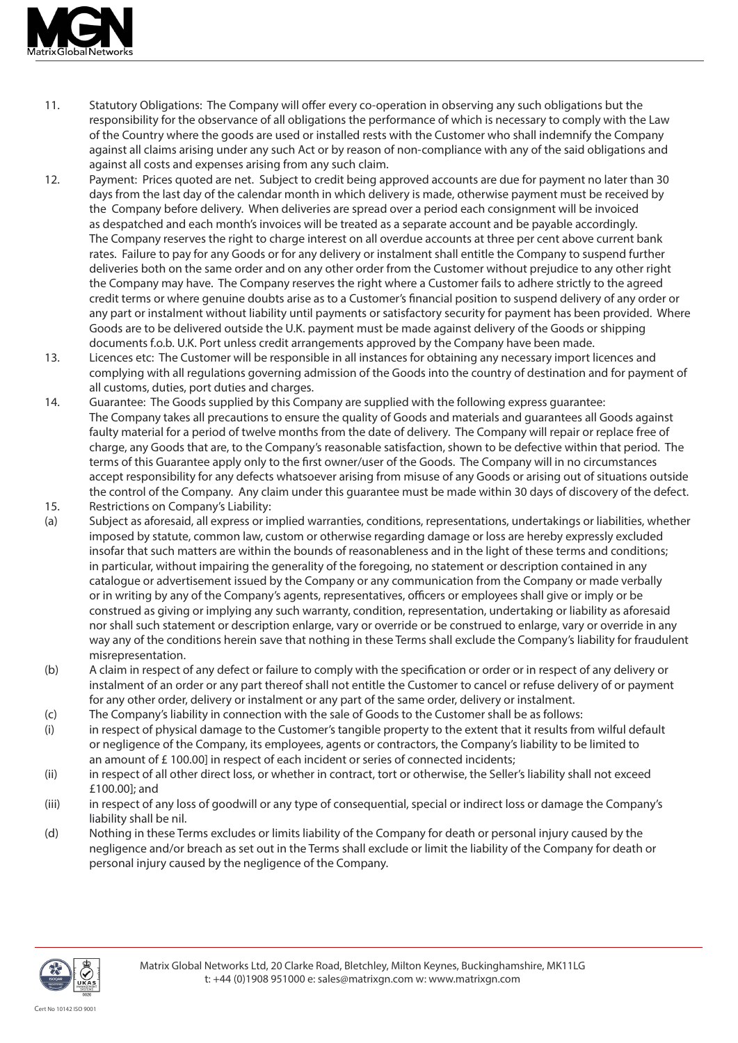

- 11. Statutory Obligations: The Company will offer every co-operation in observing any such obligations but the responsibility for the observance of all obligations the performance of which is necessary to comply with the Law of the Country where the goods are used or installed rests with the Customer who shall indemnify the Company against all claims arising under any such Act or by reason of non-compliance with any of the said obligations and against all costs and expenses arising from any such claim.
- 12. Payment: Prices quoted are net. Subject to credit being approved accounts are due for payment no later than 30 days from the last day of the calendar month in which delivery is made, otherwise payment must be received by the Company before delivery. When deliveries are spread over a period each consignment will be invoiced as despatched and each month's invoices will be treated as a separate account and be payable accordingly. The Company reserves the right to charge interest on all overdue accounts at three per cent above current bank rates. Failure to pay for any Goods or for any delivery or instalment shall entitle the Company to suspend further deliveries both on the same order and on any other order from the Customer without prejudice to any other right the Company may have. The Company reserves the right where a Customer fails to adhere strictly to the agreed credit terms or where genuine doubts arise as to a Customer's financial position to suspend delivery of any order or any part or instalment without liability until payments or satisfactory security for payment has been provided. Where Goods are to be delivered outside the U.K. payment must be made against delivery of the Goods or shipping documents f.o.b. U.K. Port unless credit arrangements approved by the Company have been made.
- 13. Licences etc: The Customer will be responsible in all instances for obtaining any necessary import licences and complying with all regulations governing admission of the Goods into the country of destination and for payment of all customs, duties, port duties and charges.
- 14. Guarantee: The Goods supplied by this Company are supplied with the following express guarantee: The Company takes all precautions to ensure the quality of Goods and materials and guarantees all Goods against faulty material for a period of twelve months from the date of delivery. The Company will repair or replace free of charge, any Goods that are, to the Company's reasonable satisfaction, shown to be defective within that period. The terms of this Guarantee apply only to the first owner/user of the Goods. The Company will in no circumstances accept responsibility for any defects whatsoever arising from misuse of any Goods or arising out of situations outside the control of the Company. Any claim under this guarantee must be made within 30 days of discovery of the defect.
- 15. Restrictions on Company's Liability:
- (a) Subject as aforesaid, all express or implied warranties, conditions, representations, undertakings or liabilities, whether imposed by statute, common law, custom or otherwise regarding damage or loss are hereby expressly excluded insofar that such matters are within the bounds of reasonableness and in the light of these terms and conditions; in particular, without impairing the generality of the foregoing, no statement or description contained in any catalogue or advertisement issued by the Company or any communication from the Company or made verbally or in writing by any of the Company's agents, representatives, officers or employees shall give or imply or be construed as giving or implying any such warranty, condition, representation, undertaking or liability as aforesaid nor shall such statement or description enlarge, vary or override or be construed to enlarge, vary or override in any way any of the conditions herein save that nothing in these Terms shall exclude the Company's liability for fraudulent misrepresentation.
- (b) A claim in respect of any defect or failure to comply with the specification or order or in respect of any delivery or instalment of an order or any part thereof shall not entitle the Customer to cancel or refuse delivery of or payment for any other order, delivery or instalment or any part of the same order, delivery or instalment.
- (c) The Company's liability in connection with the sale of Goods to the Customer shall be as follows:
- (i) in respect of physical damage to the Customer's tangible property to the extent that it results from wilful default or negligence of the Company, its employees, agents or contractors, the Company's liability to be limited to an amount of £ 100.00] in respect of each incident or series of connected incidents;
- (ii) in respect of all other direct loss, or whether in contract, tort or otherwise, the Seller's liability shall not exceed £100.00]; and
- (iii) in respect of any loss of goodwill or any type of consequential, special or indirect loss or damage the Company's liability shall be nil.
- (d) Nothing in these Terms excludes or limits liability of the Company for death or personal injury caused by the negligence and/or breach as set out in the Terms shall exclude or limit the liability of the Company for death or personal injury caused by the negligence of the Company.